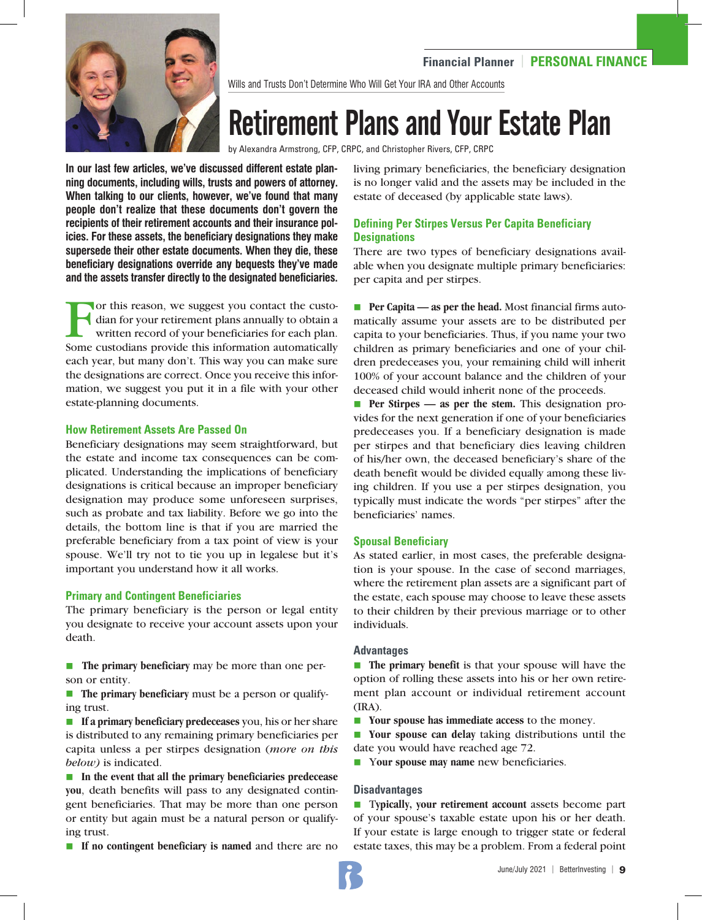

Wills and Trusts Don't Determine Who Will Get Your IRA and Other Accounts

## Retirement Plans and Your Estate Plan

by Alexandra Armstrong, CFP, CRPC, and Christopher Rivers, CFP, CRPC

**In our last few articles, we've discussed different estate planning documents, including wills, trusts and powers of attorney. When talking to our clients, however, we've found that many people don't realize that these documents don't govern the recipients of their retirement accounts and their insurance policies. For these assets, the beneficiary designations they make supersede their other estate documents. When they die, these beneficiary designations override any bequests they've made and the assets transfer directly to the designated beneficiaries.** 

or this reason, we suggest you contact the custodian for your retirement plans annually to obtain a written record of your beneficiaries for each plan. Some custodians provide this information automatically each year, but many don't. This way you can make sure the designations are correct. Once you receive this information, we suggest you put it in a file with your other estate-planning documents.

#### **How Retirement Assets Are Passed On**

Beneficiary designations may seem straightforward, but the estate and income tax consequences can be complicated. Understanding the implications of beneficiary designations is critical because an improper beneficiary designation may produce some unforeseen surprises, such as probate and tax liability. Before we go into the details, the bottom line is that if you are married the preferable beneficiary from a tax point of view is your spouse. We'll try not to tie you up in legalese but it's important you understand how it all works.

## **Primary and Contingent Beneficiaries**

The primary beneficiary is the person or legal entity you designate to receive your account assets upon your death.

**n** The primary beneficiary may be more than one person or entity.

**n** The primary beneficiary must be a person or qualifying trust.

**n** If a primary beneficiary predeceases you, his or her share is distributed to any remaining primary beneficiaries per capita unless a per stirpes designation (*more on this below)* is indicated.

**■** In the event that all the primary beneficiaries predecease **you**, death benefits will pass to any designated contingent beneficiaries. That may be more than one person or entity but again must be a natural person or qualifying trust.

**n** If no contingent beneficiary is named and there are no

living primary beneficiaries, the beneficiary designation is no longer valid and the assets may be included in the estate of deceased (by applicable state laws).

## **Defining Per Stirpes Versus Per Capita Beneficiary Designations**

There are two types of beneficiary designations available when you designate multiple primary beneficiaries: per capita and per stirpes.

**Per Capita — as per the head.** Most financial firms automatically assume your assets are to be distributed per capita to your beneficiaries. Thus, if you name your two children as primary beneficiaries and one of your children predeceases you, your remaining child will inherit 100% of your account balance and the children of your deceased child would inherit none of the proceeds.

**Per Stirpes — as per the stem.** This designation provides for the next generation if one of your beneficiaries predeceases you. If a beneficiary designation is made per stirpes and that beneficiary dies leaving children of his/her own, the deceased beneficiary's share of the death benefit would be divided equally among these living children. If you use a per stirpes designation, you typically must indicate the words "per stirpes" after the beneficiaries' names.

## **Spousal Beneficiary**

As stated earlier, in most cases, the preferable designation is your spouse. In the case of second marriages, where the retirement plan assets are a significant part of the estate, each spouse may choose to leave these assets to their children by their previous marriage or to other individuals.

## **Advantages**

**n** The primary benefit is that your spouse will have the option of rolling these assets into his or her own retirement plan account or individual retirement account (IRA).

**n** Your spouse has immediate access to the money.

**n** Your spouse can delay taking distributions until the date you would have reached age 72.

**Nour spouse may name** new beneficiaries.

## **Disadvantages**

■ **Typically, your retirement account** assets become part of your spouse's taxable estate upon his or her death. If your estate is large enough to trigger state or federal estate taxes, this may be a problem. From a federal point

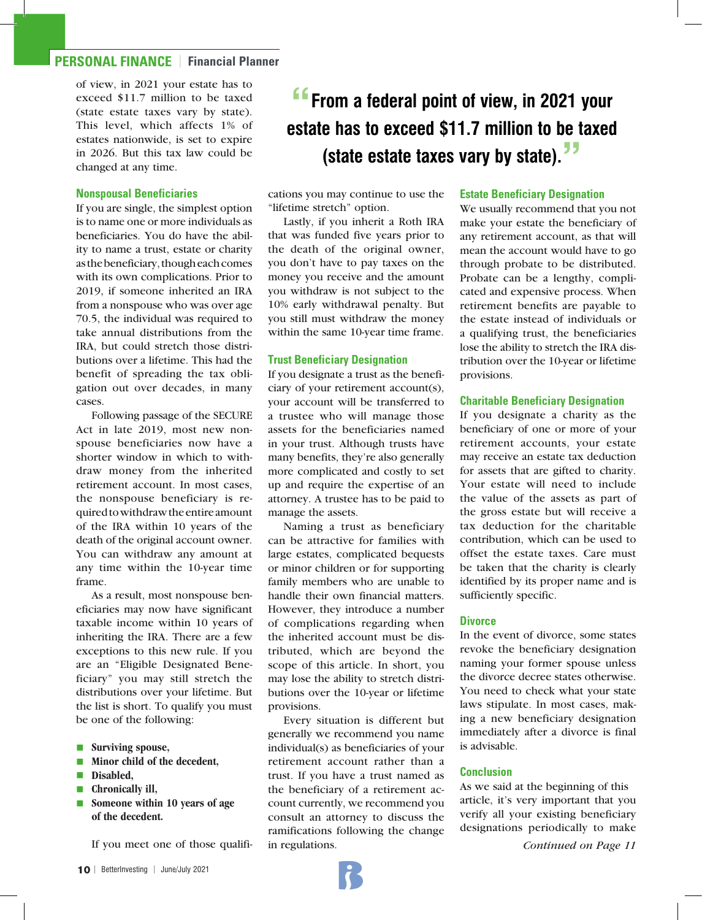## **PERSONAL FINANCE** | **Financial Planner**

of view, in 2021 your estate has to exceed \$11.7 million to be taxed (state estate taxes vary by state). This level, which affects 1% of estates nationwide, is set to expire in 2026. But this tax law could be changed at any time.

#### **Nonspousal Beneficiaries**

If you are single, the simplest option is to name one or more individuals as beneficiaries. You do have the ability to name a trust, estate or charity as the beneficiary, though each comes with its own complications. Prior to 2019, if someone inherited an IRA from a nonspouse who was over age 70.5, the individual was required to take annual distributions from the IRA, but could stretch those distributions over a lifetime. This had the benefit of spreading the tax obligation out over decades, in many cases.

Following passage of the SECURE Act in late 2019, most new nonspouse beneficiaries now have a shorter window in which to withdraw money from the inherited retirement account. In most cases, the nonspouse beneficiary is required to withdraw the entire amount of the IRA within 10 years of the death of the original account owner. You can withdraw any amount at any time within the 10-year time frame.

As a result, most nonspouse beneficiaries may now have significant taxable income within 10 years of inheriting the IRA. There are a few exceptions to this new rule. If you are an "Eligible Designated Beneficiary" you may still stretch the distributions over your lifetime. But the list is short. To qualify you must be one of the following:

- **n** Surviving spouse,
- **nMinor child of the decedent.**
- n**Disabled,**
- **n** Chronically ill,
- **n** Someone within 10 years of age **of the decedent.**

If you meet one of those qualifi-

cations you may continue to use the "lifetime stretch" option.

Lastly, if you inherit a Roth IRA that was funded five years prior to the death of the original owner, you don't have to pay taxes on the money you receive and the amount you withdraw is not subject to the 10% early withdrawal penalty. But you still must withdraw the money within the same 10-year time frame.

#### **Trust Beneficiary Designation**

If you designate a trust as the beneficiary of your retirement account(s), your account will be transferred to a trustee who will manage those assets for the beneficiaries named in your trust. Although trusts have many benefits, they're also generally more complicated and costly to set up and require the expertise of an attorney. A trustee has to be paid to manage the assets.

Naming a trust as beneficiary can be attractive for families with large estates, complicated bequests or minor children or for supporting family members who are unable to handle their own financial matters. However, they introduce a number of complications regarding when the inherited account must be distributed, which are beyond the scope of this article. In short, you may lose the ability to stretch distributions over the 10-year or lifetime provisions.

Every situation is different but generally we recommend you name individual(s) as beneficiaries of your retirement account rather than a trust. If you have a trust named as the beneficiary of a retirement account currently, we recommend you consult an attorney to discuss the ramifications following the change in regulations.

#### **Estate Beneficiary Designation**

We usually recommend that you not make your estate the beneficiary of any retirement account, as that will mean the account would have to go through probate to be distributed. Probate can be a lengthy, complicated and expensive process. When retirement benefits are payable to the estate instead of individuals or a qualifying trust, the beneficiaries lose the ability to stretch the IRA distribution over the 10-year or lifetime provisions.

#### **Charitable Beneficiary Designation**

If you designate a charity as the beneficiary of one or more of your retirement accounts, your estate may receive an estate tax deduction for assets that are gifted to charity. Your estate will need to include the value of the assets as part of the gross estate but will receive a tax deduction for the charitable contribution, which can be used to offset the estate taxes. Care must be taken that the charity is clearly identified by its proper name and is sufficiently specific.

#### **Divorce**

In the event of divorce, some states revoke the beneficiary designation naming your former spouse unless the divorce decree states otherwise. You need to check what your state laws stipulate. In most cases, making a new beneficiary designation immediately after a divorce is final is advisable.

#### **Conclusion**

As we said at the beginning of this article, it's very important that you verify all your existing beneficiary designations periodically to make

*Continued on Page 11*